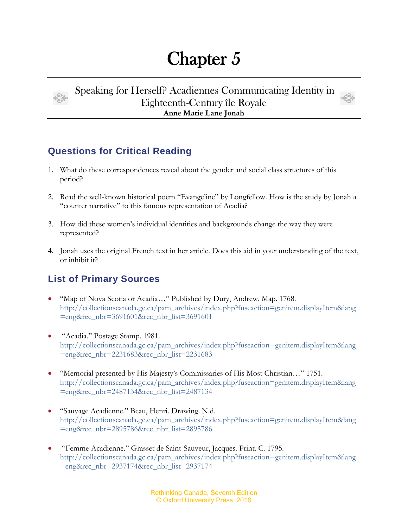## Chapter 5



Speaking for Herself? Acadiennes Communicating Identity in Eighteenth-Century île Royale **Anne Marie Lane Jonah**



## **Questions for Critical Reading**

- 1. What do these correspondences reveal about the gender and social class structures of this period?
- 2. Read the well-known historical poem "Evangeline" by Longfellow. How is the study by Jonah a "counter narrative" to this famous representation of Acadia?
- 3. How did these women's individual identities and backgrounds change the way they were represented?
- 4. Jonah uses the original French text in her article. Does this aid in your understanding of the text, or inhibit it?

## **List of Primary Sources**

- "Map of Nova Scotia or Acadia…" Published by Dury, Andrew. Map. 1768. [http://collectionscanada.gc.ca/pam\\_archives/index.php?fuseaction=genitem.displayItem&lang](http://collectionscanada.gc.ca/pam_archives/index.php?fuseaction=genitem.displayItem&lang=eng&rec_nbr=3691601&rec_nbr_list=3691601) [=eng&rec\\_nbr=3691601&rec\\_nbr\\_list=3691601](http://collectionscanada.gc.ca/pam_archives/index.php?fuseaction=genitem.displayItem&lang=eng&rec_nbr=3691601&rec_nbr_list=3691601)
- "Acadia." Postage Stamp. 1981. [http://collectionscanada.gc.ca/pam\\_archives/index.php?fuseaction=genitem.displayItem&lang](http://collectionscanada.gc.ca/pam_archives/index.php?fuseaction=genitem.displayItem&lang=eng&rec_nbr=2231683&rec_nbr_list=2231683) [=eng&rec\\_nbr=2231683&rec\\_nbr\\_list=2231683](http://collectionscanada.gc.ca/pam_archives/index.php?fuseaction=genitem.displayItem&lang=eng&rec_nbr=2231683&rec_nbr_list=2231683)
- "Memorial presented by His Majesty's Commissaries of His Most Christian…" 1751. [http://collectionscanada.gc.ca/pam\\_archives/index.php?fuseaction=genitem.displayItem&lang](http://collectionscanada.gc.ca/pam_archives/index.php?fuseaction=genitem.displayItem&lang=eng&rec_nbr=2487134&rec_nbr_list=2487134) [=eng&rec\\_nbr=2487134&rec\\_nbr\\_list=2487134](http://collectionscanada.gc.ca/pam_archives/index.php?fuseaction=genitem.displayItem&lang=eng&rec_nbr=2487134&rec_nbr_list=2487134)
- "Sauvage Acadienne." Beau, Henri. Drawing. N.d. [http://collectionscanada.gc.ca/pam\\_archives/index.php?fuseaction=genitem.displayItem&lang](http://collectionscanada.gc.ca/pam_archives/index.php?fuseaction=genitem.displayItem&lang=eng&rec_nbr=2895786&rec_nbr_list=2895786) [=eng&rec\\_nbr=2895786&rec\\_nbr\\_list=2895786](http://collectionscanada.gc.ca/pam_archives/index.php?fuseaction=genitem.displayItem&lang=eng&rec_nbr=2895786&rec_nbr_list=2895786)
- "Femme Acadienne." Grasset de Saint-Sauveur, Jacques. Print. C. 1795. [http://collectionscanada.gc.ca/pam\\_archives/index.php?fuseaction=genitem.displayItem&lang](http://collectionscanada.gc.ca/pam_archives/index.php?fuseaction=genitem.displayItem&lang=eng&rec_nbr=2937174&rec_nbr_list=2937174) [=eng&rec\\_nbr=2937174&rec\\_nbr\\_list=2937174](http://collectionscanada.gc.ca/pam_archives/index.php?fuseaction=genitem.displayItem&lang=eng&rec_nbr=2937174&rec_nbr_list=2937174)

Rethinking Canada, Seventh Edition © Oxford University Press, 2016